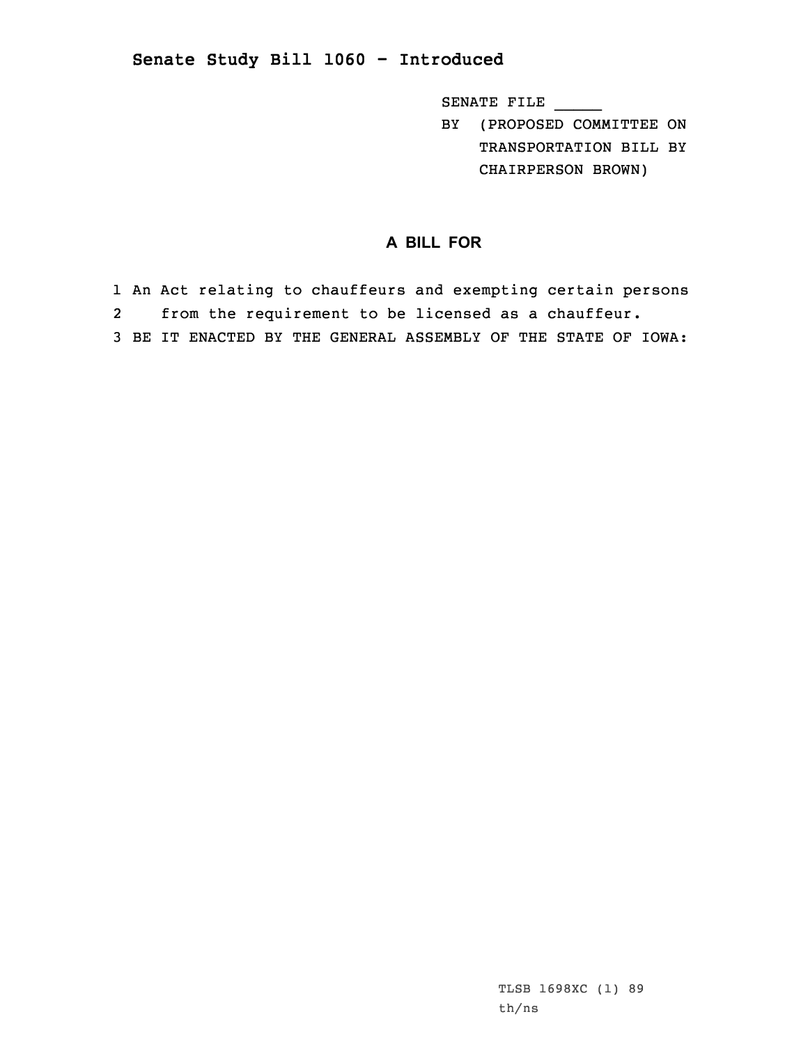## **Senate Study Bill 1060 - Introduced**

SENATE FILE \_\_\_\_\_

BY (PROPOSED COMMITTEE ON TRANSPORTATION BILL BY CHAIRPERSON BROWN)

## **A BILL FOR**

1 An Act relating to chauffeurs and exempting certain persons 2 from the requirement to be licensed as <sup>a</sup> chauffeur. 3 BE IT ENACTED BY THE GENERAL ASSEMBLY OF THE STATE OF IOWA: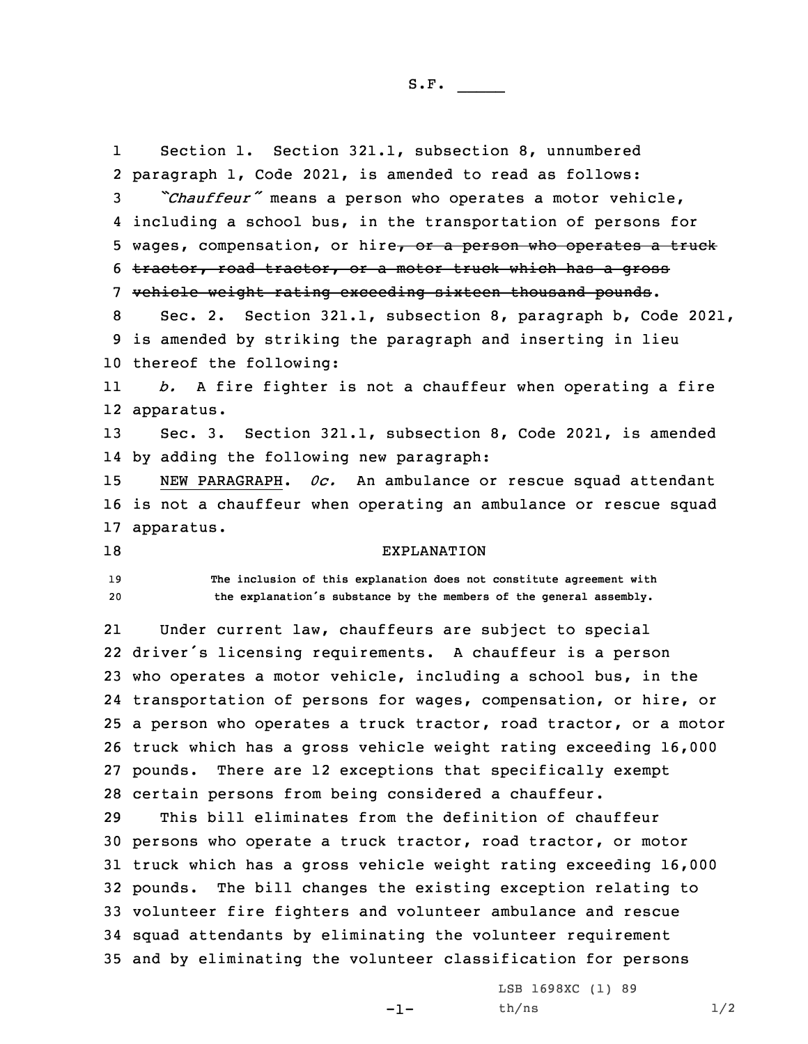1 Section 1. Section 321.1, subsection 8, unnumbered paragraph 1, Code 2021, is amended to read as follows: *"Chauffeur"* means <sup>a</sup> person who operates <sup>a</sup> motor vehicle, including <sup>a</sup> school bus, in the transportation of persons for 5 wages, compensation, or hire, or a person who operates a truck tractor, road tractor, or <sup>a</sup> motor truck which has <sup>a</sup> gross vehicle weight rating exceeding sixteen thousand pounds. Sec. 2. Section 321.1, subsection 8, paragraph b, Code 2021, is amended by striking the paragraph and inserting in lieu thereof the following: 11 *b.* <sup>A</sup> fire fighter is not <sup>a</sup> chauffeur when operating <sup>a</sup> fire apparatus. Sec. 3. Section 321.1, subsection 8, Code 2021, is amended by adding the following new paragraph: NEW PARAGRAPH. *0c.* An ambulance or rescue squad attendant is not <sup>a</sup> chauffeur when operating an ambulance or rescue squad apparatus. 18 EXPLANATION **The inclusion of this explanation does not constitute agreement with the explanation's substance by the members of the general assembly.** 21 Under current law, chauffeurs are subject to special driver's licensing requirements. <sup>A</sup> chauffeur is <sup>a</sup> person who operates <sup>a</sup> motor vehicle, including <sup>a</sup> school bus, in the transportation of persons for wages, compensation, or hire, or <sup>a</sup> person who operates <sup>a</sup> truck tractor, road tractor, or <sup>a</sup> motor truck which has <sup>a</sup> gross vehicle weight rating exceeding 16,000 pounds. There are 12 exceptions that specifically exempt certain persons from being considered <sup>a</sup> chauffeur. This bill eliminates from the definition of chauffeur persons who operate <sup>a</sup> truck tractor, road tractor, or motor truck which has <sup>a</sup> gross vehicle weight rating exceeding 16,000 pounds. The bill changes the existing exception relating to volunteer fire fighters and volunteer ambulance and rescue squad attendants by eliminating the volunteer requirement and by eliminating the volunteer classification for persons

-1-

LSB 1698XC (1) 89  $th/ns$   $1/2$